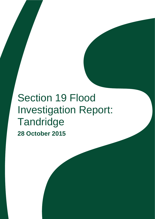# Section 19 Flood Investigation Report: **Tandridge 28 October 2015**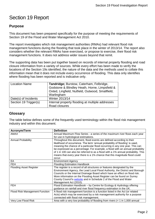# Section 19 Report

# **Purpose**

This document has been prepared specifically for the purpose of meeting the requirements of Section 19 of the Flood and Water Management Act 2010.

The report investigates which risk management authorities (RMAs) had relevant flood risk management functions during the flooding that took place in the winter of 2013/14. The report also considers whether the relevant RMAs have exercised, or propose to exercise, their flood risk management functions. It does not address wider issues beyond that remit.

The supporting data has been put together based on records of internal property flooding and road closure information from a variety of sources. While every effort has been made to verify the locations of the Section 19s identified, the nature of the data and the methods used to collate this information mean that it does not include every occurrence of flooding. This data only identifies where flooding has been reported and is indicative only.

| <b>Location Name</b>  | Tandridge; Burstow, Caterham, Felbridge,<br>Godstone & Blindley Heath, Horne, Limpsfield &<br>Oxted, Lingfield, Nutfield, Outwood, Smallfield,<br>Warlingham |
|-----------------------|--------------------------------------------------------------------------------------------------------------------------------------------------------------|
| Date(s) of Incidents  | <b>Winter 2013/14</b>                                                                                                                                        |
| Section 19 Trigger(s) | Internal property flooding at multiple addresses                                                                                                             |
|                       | Road closures                                                                                                                                                |

### <span id="page-1-0"></span>**Glossary**

The table below defines some of the frequently used terminology within the flood risk management industry and within this document.

| <b>Acronym/Term</b>                   | <b>Definition</b>                                                                                                                                                                                                                                                                                                                                                                                                                                                                         |
|---------------------------------------|-------------------------------------------------------------------------------------------------------------------------------------------------------------------------------------------------------------------------------------------------------------------------------------------------------------------------------------------------------------------------------------------------------------------------------------------------------------------------------------------|
| AMAX                                  | Annual Maximum Flow Series - a series of the maximum river flows each year                                                                                                                                                                                                                                                                                                                                                                                                                |
|                                       | for use in hydrological estimations.                                                                                                                                                                                                                                                                                                                                                                                                                                                      |
| <b>Annual Probability</b>             | Throughout this document, flood events are defined according to their<br>likelihood of occurrence. The term 'annual probability of flooding' is used,<br>meaning the chance of a particular flood occurring in any one year. This can<br>be expressed as a percentage. For example, a flood with an annual probability<br>of 1 in 100 can also be referred to as a flood with a 1% annual probability. This<br>means that every year there is a 1% chance that this magnitude flood could |
|                                       | occur.                                                                                                                                                                                                                                                                                                                                                                                                                                                                                    |
| EA                                    | <b>Environment Agency</b>                                                                                                                                                                                                                                                                                                                                                                                                                                                                 |
| <b>FEH</b>                            | <b>Flooding Estimation Handbook</b>                                                                                                                                                                                                                                                                                                                                                                                                                                                       |
| <b>Flooding Asset Register</b>        | The register is a record of all structures or features designated by the<br>Environment Agency, the Lead Local Flood Authority, the District and Borough<br>Councils or the Internal Drainage Board which have an effect on flood risk.<br>More information on the Flooding Asset Register can be found on Surrey<br>County Council's website and in Schedule 2 of the Flood and Water<br>Management Act (2010).                                                                          |
| <b>FEH</b>                            | Flood Estimation Handbook - by Centre for Ecology & Hydrology offering<br>guidance on rainfall and river flood frequency estimation in the UK.                                                                                                                                                                                                                                                                                                                                            |
| <b>Flood Risk Management Function</b> | A flood risk management function is a function listed in the Act (or related<br>Acts) which may be exercised by a risk management authority for a purpose<br>connected with flood risk management.                                                                                                                                                                                                                                                                                        |
| Very Low Flood Risk                   | Area with a very low probability of flooding from rivers $(< 1$ in 1,000 annual                                                                                                                                                                                                                                                                                                                                                                                                           |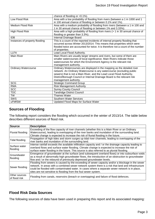|                                | chance of flooding or <0.1%).                                                    |
|--------------------------------|----------------------------------------------------------------------------------|
| Low Flood Risk                 | Area with a low probability of flooding from rivers (between a 1 in 1000 and 1   |
|                                | in 100 annual chance of flooding or between 0.1% and 1%).                        |
| <b>Medium Flood Risk</b>       | Area with a medium probability of flooding from rivers (between a 1 in 100 and   |
|                                | 1 in 30 annual chance of flooding or between 1% and 3.33%).                      |
| High Flood Risk                | Area with a high probability of flooding from rivers (> 1 in 30 annual chance of |
|                                | flooding or greater than 3.3%).                                                  |
| <b>IDB</b>                     | Internal Drainage Board                                                          |
| Instances of property flooding | This is a count of the reported incidents of internal property flooding that     |
|                                | occurred across Winter 2013/2014. This means that properties which were          |
|                                | flooded twice are accounted for twice. It is therefore not a count of the number |
|                                | of properties.                                                                   |
| <b>LLFA</b>                    | Lead Local Flood Authority.                                                      |
| <b>Main River</b>              | Main Rivers are usually larger streams and rivers, but some of them are          |
|                                | smaller watercourses of local significance. Main Rivers indicate those           |
|                                | watercourses for which the Environment Agency is the relevant risk               |
|                                | management authority.                                                            |
| <b>Ordinary Watercourse</b>    | Ordinary Watercourses are displayed in the mapping as the detailed river         |
|                                | network. An Ordinary Watercourse is any watercourse (excluding public            |
|                                | sewers) that is not a Main River, and the Lead Local Flood Authority,            |
|                                | District/Borough Council or Internal Drainage Board is the relevant risk         |
|                                | management authority.                                                            |
| <b>SCG</b>                     | <b>Strategic Command Group</b>                                                   |
| <b>RMA</b>                     | <b>Risk Management Authority</b>                                                 |
| <b>SCC</b>                     | <b>Surrey County Council</b>                                                     |
| <b>TDC</b>                     | <b>Tandridge District Council</b>                                                |
| <b>TW</b>                      | Thames Water                                                                     |
| <b>SWS</b>                     | Southern Water Services                                                          |
| uFMfSW                         | Updated Flood Maps for Surface Water                                             |

### <span id="page-2-0"></span>**Sources of Flooding**

The following report considers the flooding which occurred in the winter of 2013/14. The table below describes different sources of flood risk.

| <b>Source</b>                  | <b>Description</b>                                                                                     |
|--------------------------------|--------------------------------------------------------------------------------------------------------|
|                                | Exceeding of the flow capacity of river channels (whether this is a Main River or an Ordinary          |
| Fluvial flooding               | Watercourse), leading to overtopping of the river banks and inundation of the surrounding land.        |
|                                | Climate change is expected to increase the risk of fluvial flooding in the future.                     |
| Tidal flooding                 | Propagation of high tides and storm surges up tidal river channels, leading to overtopping of the      |
|                                | river banks and inundation of the surrounding land.                                                    |
| Surface water                  | Intense rainfall exceeds the available infiltration capacity and / or the drainage capacity leading to |
| flooding                       | overland flows and surface water flooding. Climate change is expected to increase the risk of          |
|                                | surface water flooding in the future. This source is also referred to as pluvial flooding.             |
| Groundwater                    | Emergence of groundwater at the surface (and subsequent overland flows) or into subsurface voids       |
| flooding                       | as a result of abnormally high groundwater flows, the introduction of an obstruction to groundwater    |
|                                | flow and / or the rebound of previously depressed groundwater levels.                                  |
|                                | Flooding from sewers is caused by the exceeding of sewer capacity and/or a blockage in the sewer       |
|                                | network. In areas with a combined sewer network system there is a risk that land and infrastructure    |
| Sewer flooding                 | could be flooded with contaminated water. In cases where a separate sewer network is in place,         |
|                                | sites are not sensitive to flooding from the foul sewer system.                                        |
| Other sources<br>of flood risk | Flooding from canals, reservoirs (breach or overtopping) and failure of flood defences.                |

### <span id="page-2-1"></span>**Flood Risk Data Sources**

The following sources of data have been used in preparing this report and its associated mapping: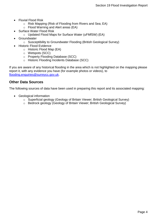- Fluvial Flood Risk
	- o Risk Mapping (Risk of Flooding from Rivers and Sea; EA)
	- o Flood Warning and Alert areas (EA)
- Surface Water Flood Risk
	- o Updated Flood Maps for Surface Water (uFMfSW) (EA)
- **Groundwater** 
	- o Susceptibility to Groundwater Flooding (British Geological Survey)
- Historic Flood Evidence
	- o Historic Flood Map (EA)
	- o Wetspots (SCC)
	- o Property Flooding Database (SCC)
	- o Historic Flooding Incidents Database (SCC)

If you are aware of any historical flooding in the area which is not highlighted on the mapping please report it, with any evidence you have (for example photos or videos), to [flooding.enquiries@surreycc.gov.uk.](mailto:flooding.enquiries@surreycc.gov.uk?subject=Historic%20Flooding%20Report)

#### <span id="page-3-0"></span>**Other Data Sources**

The following sources of data have been used in preparing this report and its associated mapping:

- Geological information
	- o Superficial geology (Geology of Britain Viewer; British Geological Survey)
	- o Bedrock geology (Geology of Britain Viewer; British Geological Survey)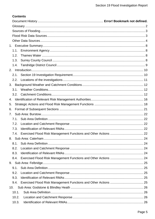# **Contents**

| 1.1.  |  |
|-------|--|
| 1.2.  |  |
| 1.3.  |  |
| 1.4.  |  |
|       |  |
| 2.1.  |  |
|       |  |
|       |  |
| 3.1.  |  |
| 3.2.  |  |
| 4.    |  |
| 5.    |  |
| 6.    |  |
| 7.    |  |
| 7.1.  |  |
| 7.2.  |  |
| 7.3.  |  |
| 7.4.  |  |
|       |  |
| 8.1.  |  |
| 8.2.  |  |
| 8.3.  |  |
| 8.4.  |  |
|       |  |
| 9.1.  |  |
| 9.2.  |  |
| 9.3.  |  |
| 9.4.  |  |
| 10.   |  |
| 10.1. |  |
| 10.2. |  |
| 10.3. |  |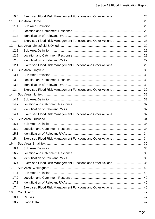| 10.4. |                                                                 |  |
|-------|-----------------------------------------------------------------|--|
| 11.   |                                                                 |  |
| 11.1. |                                                                 |  |
| 11.2. |                                                                 |  |
| 11.3. |                                                                 |  |
| 11.4. | Exercised Flood Risk Management Functions and Other Actions  28 |  |
| 12.   |                                                                 |  |
| 12.1. |                                                                 |  |
| 12.2. |                                                                 |  |
| 12.3. |                                                                 |  |
| 12.4. |                                                                 |  |
| 13.   |                                                                 |  |
| 13.1. |                                                                 |  |
| 13.2. |                                                                 |  |
| 13.3. |                                                                 |  |
| 13.4. |                                                                 |  |
| 14.   |                                                                 |  |
| 14.1. |                                                                 |  |
| 14.2. |                                                                 |  |
| 14.3. |                                                                 |  |
| 14.4. | Exercised Flood Risk Management Functions and Other Actions  32 |  |
| 15.   |                                                                 |  |
| 15.1. |                                                                 |  |
| 15.2. |                                                                 |  |
| 15.3. |                                                                 |  |
| 15.4. |                                                                 |  |
| 16.   |                                                                 |  |
| 16.1. |                                                                 |  |
| 16.2. |                                                                 |  |
| 16.3. |                                                                 |  |
| 16.4. |                                                                 |  |
| 17.   |                                                                 |  |
| 17.1. |                                                                 |  |
| 17.2. |                                                                 |  |
| 17.3. |                                                                 |  |
| 17.4. | Exercised Flood Risk Management Functions and Other Actions  40 |  |
| 18.   |                                                                 |  |
| 18.1. |                                                                 |  |
| 18.2. |                                                                 |  |
|       |                                                                 |  |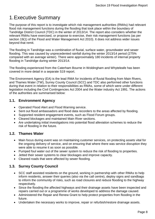# <span id="page-7-0"></span>1.Executive Summary

The purpose of this report is to investigate which risk management authorities (RMAs) had relevant flood risk management functions during the flooding that took place within the boundary of Tandridge District Council (TDC) in the winter of 2013/14. The report also considers whether the relevant RMAs have exercised, or propose to exercise, their risk management functions (as per section 19(1) of the Flood and Water Management Act 2010). It does not address wider issues beyond that remit.

The flooding in Tandridge was a combination of fluvial, surface water, groundwater and sewer flooding. This was caused by unprecedented rainfall during the winter 2013/14 period (275% compared with an average winter). There were approximately 180 incidents of internal property flooding in Tandridge during winter 2013/14.

The flooding experienced from the Caterham Bourne in Woldingham and Whyteleafe has been covered in more detail in a separate S19 report.

The Environment Agency (EA) is the lead RMA for incidents of fluvial flooding from Main Rivers, and Thames Water (TW), Surrey County Council (SCC) and TDC also performed other functions during that event in relation to their responsibilities as RMAs, some of which were under different legislation including the Civil Contingencies Act 2004 and the Water industry Act 1991. The actions of the authorities are summarised below:

# <span id="page-7-1"></span>**1.1. Environment Agency**

- Operated Flood Alert and Flood Warning service.
- Sent out flood ambassadors and flood data recorders to the areas affected by flooding.
- Supported resident engagement events, such as Flood Forum groups.
- Cleared blockages and maintained Main River sections.
- Are undertaking initial investigations into potential flood alleviation schemes to reduce the risk of flooding in the future.

# <span id="page-7-2"></span>**1.2. Thames Water**

- Main focus during event was on maintaining customer services, on protecting assets vital for the ongoing delivery of service, and on ensuring that where there was service disruption they were able to resume it as soon as possible.
- Pumped foul water out of the sewer system to reduce the risk of flooding to properties.
- Jetted their sewer systems to clear blockages and improve capacity.
- Cleaned roads that were affected by sewer flooding.

# <span id="page-7-3"></span>**1.3. Surrey County Council**

- SCC staff assisted residents on the ground, working in partnership with other RMAs to help inform residents, answer their queries (also via the call centre), deploy signs and sandbags to inform the community of risks, such as road closures and reduce flooding to the highway respectively.
- Since the flooding the affected highways and their drainage assets have been inspected and repairs carried out or a programme of works developed to address the damage caused.
- Administered the Repair and Renew Grant to help protect properties from flooding in the future.
- Undertaken the necessary works to improve, repair or refurbish/restore drainage assets.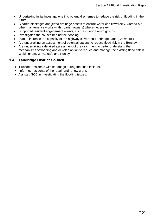- Undertaking initial investigations into potential schemes to reduce the risk of flooding in the future.
- Cleared blockages and jetted drainage assets to ensure water can flow freely. Carried out other maintenance works (with riparian owners) where necessary.
- Supported resident engagement events, such as Flood Forum groups.
- Investigated the causes behind the flooding.
- Plan to increase the capacity of the highway culvert on Tandridge Lane (Crowhurst).
- Are undertaking an assessment of potential options to reduce flood risk in the Burstow.
- Are undertaking a detailed assessment of the catchment to better understand the mechanisms of flooding and develop option to reduce and manage the existing flood risk in Woldingham, Whyteleafe and Kenley.

# <span id="page-8-0"></span>**1.4. Tandridge District Council**

- Provided residents with sandbags during the flood incident.
- Informed residents of the repair and renew grant.
- Assisted SCC in investigating the flooding issues.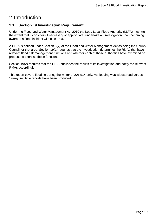# <span id="page-9-0"></span>2.Introduction

# <span id="page-9-1"></span>**2.1. Section 19 Investigation Requirement**

Under the Flood and Water Management Act 2010 the Lead Local Flood Authority (LLFA) must (to the extent that it considers it necessary or appropriate) undertake an investigation upon becoming aware of a flood incident within its area.

A LLFA is defined under Section 6(7) of the Flood and Water Management Act as being the County Council for that area. Section 19(1) requires that the investigation determines the RMAs that have relevant flood risk management functions and whether each of those authorities have exercised or propose to exercise those functions.

Section 19(2) requires that the LLFA publishes the results of its investigation and notify the relevant RMAs accordingly.

This report covers flooding during the winter of 2013/14 only. As flooding was widespread across Surrey, multiple reports have been produced.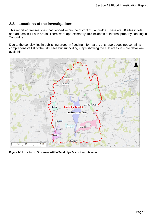# <span id="page-10-0"></span>**2.2. Locations of the investigations**

This report addresses sites that flooded within the district of Tandridge. There are 70 sites in total, spread across 11 sub areas. There were approximately 180 incidents of internal property flooding in Tandridge.

Due to the sensitivities in publishing property flooding information, this report does not contain a comprehensive list of the S19 sites but supporting maps showing the sub areas in more detail are available.



**Figure 2-1 Location of Sub areas within Tandridge District for this report**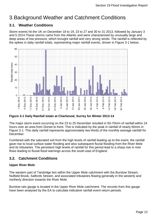# <span id="page-11-0"></span>3.Background Weather and Catchment Conditions

# <span id="page-11-1"></span>**3.1. Weather Conditions**

Storm events hit the UK on December 18 to 19, 23 to 27 and 30 to 31 2013, followed by January 3 and 5 2014.These storms came from the Atlantic and were characterised by unusually large and deep areas of low pressure, which brought rainfall and very strong winds. The rainfall is reflected by the spikes in daily rainfall totals, representing major rainfall events, shown in Figure 3-1 below.



**Figure 3-1 Daily Rainfall totals at Charlwood, Surrey for Winter 2013-14**

The major storm event occurring on the 23 to 25 December resulted in 50-70mm of rainfall within 24 hours over an area from Dorset to Kent. This is indicated by the peak in rainfall of nearly 60mm in Figure 3-1. This daily rainfall represents approximately two-thirds of the monthly average rainfall for December.

Combined with the saturated soil from the high levels of rainfall leading up to the event, the rainfall gave rise to local surface water flooding and also subsequent fluvial flooding from the River Mole and its tributaries. The persistent high levels of rainfall for this period lead to a sharp rise in river flows leading to fluvial flood warnings across the south east of England.

# <span id="page-11-2"></span>**3.2. Catchment Conditions**

#### **Upper River Mole**

The western part of Tandridge lies within the Upper Mole catchment with the Burstow Stream, Nutfield Brook, Salfords Stream, and associated tributaries flowing generally in the westerly and northerly direction towards the River Mole.

Burstow rain gauge is located in the Upper River Mole catchment. The records from this gauge have been analysed by the EA to calculate indicative rainfall event return periods.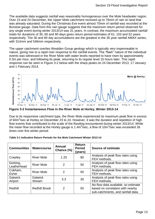The available data suggests rainfall was reasonably homogeneous over the Mole headwater region. Over 23 and 24 December, the Upper Mole catchment received up to 76mm of rain on land that was already saturated. During the Christmas Eve event almost 70mm of rainfall was recorded at the Burstow gauge. Data from this rain gauge suggests that the maximum return period observed for any single event during winter 2013/14 was 31 years. In contrast, the maximum accumulated rainfall totals for durations of 30, 60 and 90 days gives return period estimates of 61, 103 and 52 years respectively. The 30 and 60 day accumulations are the greatest in the 35 year rainfall AMAX series, with 314mm and 546mm respectively.

The upper catchment overlies Wealden Group geology which is typically very impermeable in nature, giving rise to a rapid river response to the rainfall events. The "flash" nature of the individual events was witnessed in the River Mole with water levels reported to have risen by approximately 0.3m per hour, and following its peak, returning to its regular level 10 hours later. This rapid response can be seen in Figure 3-2 below with the sharp peaks on 24 December 2013, 17 January and 1 February 2014.



**Figure 3-2 Instantaneous Flow in the River Mole at Horley, Winter 2013-14**

Due to its responsive catchment type, the River Mole experienced its maximum peak flow in excess of 60m<sup>3</sup>/sec at Horley on December 23 to 24. However, it was the duration and repetition of high flow events that contributed to the scale of the flooding encountered during winter 2013/14. While the mean flow recorded at the Horley gauge is 1.4m<sup>3</sup>/sec, a flow of 10m<sup>3</sup>/sec was exceeded 26 times over this winter period.

| <b>Communities</b>        | Watercourse              | Annual<br>Chance (%) | Return<br><b>Period</b><br>(years) | <b>Source of estimate</b>                                                                                     |
|---------------------------|--------------------------|----------------------|------------------------------------|---------------------------------------------------------------------------------------------------------------|
| Crawley                   | <b>River Mole</b>        | 1.25                 | 80                                 | Analysis of peak flow rates using<br>FEH methods.                                                             |
| Dorking,<br>Leatherhead   | <b>River Mole</b>        | 2                    | 50                                 | Analysis of peak flow rates using<br>FEH methods.                                                             |
| Cobham,<br><b>Esher</b>   | <b>River Mole</b>        | 2                    | 50                                 | Analysis of peak flow rates using<br>FEH methods.                                                             |
| <b>Gatwick</b><br>Airport | Gatwick<br><b>Stream</b> | 3.3                  | 30                                 | Analysis of peak flow rates using<br>FEH methods.                                                             |
| Redhill                   | <b>Redhill Brook</b>     | 2                    | 50                                 | No flow data available, so estimate<br>based on correlation with nearby<br>sub-catchments, and rainfall data. |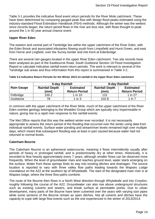Table 3-1 provides the indicative flood event return periods for the River Mole catchment. These have been determined by comparing gauged peak flow with design flood peaks estimated using the industry-standard Flood Estimation Handbook (FEH) methods. Although the winter was the wettest since records began, the return period flows in the river are less rare, with flows thought to peak around the 1 in 50 year annual chance event.

#### **Upper River Eden**

The eastern and central part of Tandridge lies within the upper catchment of the River Eden, with the Eden Brook and associated tributaries flowing south from Limpsfield and Hurst Green, and east from Horne and Lingfield, over the Surrey border and into Kent at Edenbridge.

There are several rain gauges located in the upper River Eden catchment. Two site records have been analysed as part of the Eastbourne Road, South Godstone Section 19 Flood Investigation Report to calculate indicative rainfall event return periods. The work is relevant to several of the Tandridge sub areas and thus information from this report is summarised in Table 3-2.

|                   | 5-day Rainfall                |                                          | 8-day Rainfall                |                                          |  |
|-------------------|-------------------------------|------------------------------------------|-------------------------------|------------------------------------------|--|
| <b>Rain Gauge</b> | <b>Rainfall Depth</b><br>(mm) | <b>Estimated</b><br><b>Return Period</b> | <b>Rainfall Depth</b><br>(mm) | <b>Estimated</b><br><b>Return Period</b> |  |
| Felbridge         | 100.2                         | $1$ in $10$                              | 131                           | 1 in 27                                  |  |
| Godstone          | 78                            | $1$ in $3$                               | 102.8                         | 1 in $7$                                 |  |

#### **Table 3-2 Indicative Return Periods for the Winter 2013-14 rainfall in the Upper River Eden catchment**

In common with the upper catchment of the River Mole, much of the upper catchment of the River Eden overlies geology belonging to the Wealden Group which are typically very impermeable in nature, giving rise to a rapid river response to the rainfall events.

The Met Office reports that this was the wettest winter ever recorded. It is not necessarily appropriate to assess the return period of the flooding that occurred over the winter using data from individual rainfall events. Surface water ponding and stream/river levels remained high over multiple days, which meant that subsequent flooding was at least in part caused because water had not returned to normal levels.

#### **Caterham Bourne**

The Caterham Bourne is an ephemeral watercourse, meaning it flows intermittently usually after periods of heavy or prolonged rainfall, and is predominantly dry at other times. Historically, it is recorded to flow heavily approximately every 7 years, although smaller flows can be observed more frequently. When the level of groundwater rises and reaches ground level, water starts emerging on the surface. Water from these springs finds its way into existing ditches and drainages. The source location is reported to vary with three valley flow paths leading towards the Wapses Lodge roundabout on the A22 at the southern tip of Whyteleafe. The start of the designated main river is at Wapses lodge, where the three flow paths combine.

The route of the Bourne then flows in a North West direction through Whyteleafe and into Croydon, roughly following the course of the A22. Groundwater can also rise above underground structures such as existing culverts and sewers, and break surface at permeable points. Due to urban development, many parts of the Bourne have been culverted over the years with varying size pipes while some sections of the Bourne remain as open ditches. Not all culverts and ditches have the capacity to cope with large flow events such as the one experienced in the winter of 2013/2014.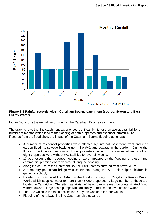

#### **Figure 3-3 Rainfall records within Caterham Bourne catchment (source: Sutton and East Surrey Water).**

Figure 3-3 shows the rainfall records within the Caterham Bourne catchment.

The graph shows that the catchment experienced significantly higher than average rainfall for a number of months which lead to the flooding of both properties and essential infrastructure. Records from the flood show the impact of the Caterham Bourne flooding as follows:

- A number of residential properties were affected by: internal, basement, front and rear garden flooding, sewage backing up in the WC, and sewage in the garden. During the flooding the Council was aware of four properties having to be evacuated and another eight properties were without WC facilities for over six weeks;
- 13 businesses either reported flooding or were impacted by the flooding, of these three commercial premises were vacated during the flooding;
- Along the course of the Caterham Bourne 1,086 homes suffered from power cuts;
- A temporary pedestrian bridge was constructed along the A22, this helped children in getting to school;
- Located just outside of the District in the London Borough of Croydon is Kenley Water Works which supplies water to more than 46,000 properties, a large number of these are located in Tandridge. The site was at risk of being overwhelmed by contaminated flood water; however, large scale pumps ran constantly to reduce the level of flood water.
- The A22 which is the main access into Croydon was shut for four weeks.
- Flooding of the railway line into Caterham also occurred.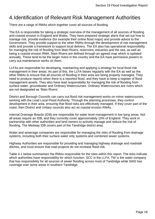# <span id="page-15-0"></span>4.Identification of Relevant Risk Management Authorities

There are a range of RMAs which together cover all sources of flooding.

The EA is responsible for taking a strategic overview of the management of all sources of flooding and coastal erosion in England and Wales. They have prepared strategic plans that set out how to manage risk, provide evidence (for example their online flood maps) and provide advice to the Government. They provide support to the other RMAs through the development of risk management skills and provide a framework to support local delivery. The EA also has operational responsibility for managing the risk of flooding from Main Rivers, reservoirs, estuaries and the sea, as well as being a coastal erosion RMA. Main Rivers are defined through an agreed map which is updated annually. These tend to be the larger rivers in the country and the EA have permissive powers to carry out maintenance works on them.

LLFAs are responsible for developing, maintaining and applying a strategy for local flood risk management in their areas. As part of this, the LLFA liaises regularly with the EA as well as the other RMAs to ensure that all sources of flooding in their area are being properly managed. They need to produce reports when there is a reported flood, and they have to keep a register of flood management assets. They also have lead responsibility for managing the risk of flooding from surface water, groundwater and Ordinary Watercourses. Ordinary Watercourses are rivers which are not designated as 'Main Rivers'.

District and Borough Councils can carry out flood risk management works on minor watercourses, working with the Lead Local Flood Authority. Through the planning processes, they control development in their area, ensuring that flood risks are effectively managed. If they cover part of the coast, then District and Unitary councils also act as coastal erosion RMAs.

Internal Drainage Boards (IDB) are responsible for water level management in low lying areas. Not all areas require an IDB, and they currently cover approximately 10% of England. They work in partnership with other authorities and land owners to actively manage and reduce the risk of flooding. The Medway IDB covers part of the Tandridge district area.

Water and sewerage companies are responsible for managing the risks of flooding from drainage systems, including both their surface water only systems and combined sewer systems.

Highway Authorities are responsible for providing and managing highway drainage and roadside ditches, and must ensure that road projects do not increase flood risk.

Table 4-1 below summarises the RMAs responsible for the sites within this report. The ticks indicate which authorities have responsibility for which function. SCC is the LLFA. TW is the water company that has responsibility for all sources of sewer flooding across most of Tandridge while SWS has coverage over some areas in southern Tandridge.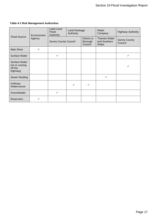#### **Table 4-1 Risk Management Authorities**

| <b>Flood Source</b>                                   | Environment<br>Agency | Lead Local<br>Flood<br>Authority | Land Drainage<br>Authority |                                   | Water<br>Company                             | <b>Highway Authority</b>        |
|-------------------------------------------------------|-----------------------|----------------------------------|----------------------------|-----------------------------------|----------------------------------------------|---------------------------------|
|                                                       |                       | <b>Surrey County Council</b>     |                            | District or<br>Borough<br>Council | <b>Thames Water</b><br>and Southern<br>Water | <b>Surrey County</b><br>Council |
| <b>Main River</b>                                     | $\checkmark$          |                                  |                            |                                   |                                              |                                 |
| Surface Water                                         |                       | ✓                                |                            |                                   |                                              | ✓                               |
| Surface Water<br>(on or coming<br>off the<br>highway) |                       |                                  |                            |                                   |                                              |                                 |
| Sewer flooding                                        |                       |                                  |                            |                                   | ✓                                            |                                 |
| Ordinary<br>Watercourse                               |                       |                                  | ✓                          |                                   |                                              |                                 |
| Groundwater                                           |                       | $\checkmark$                     |                            |                                   |                                              |                                 |
| <b>Reservoirs</b>                                     |                       |                                  |                            |                                   |                                              |                                 |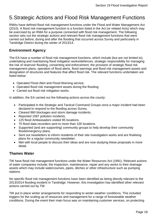# <span id="page-17-0"></span>5.Strategic Actions and Flood Risk Management Functions

RMAs have defined flood risk management functions under the Flood and Water Management Act (2010). A flood risk management function is a function listed in the Act (or related Acts) which may be exercised by an RMA for a purpose connected with flood risk management. The following section sets out the strategic actions and relevant flood risk management functions that were carried out before, during and after the flooding that occurred across Surrey and particularly in Tandridge District during the winter of 2013/14.

# **Environment Agency**

The EA have a number of flood risk management functions, which include (but are not limited to); undertaking and maintaining flood mitigation works/defences, strategic responsibility for managing the risk of reservoir flooding, consenting and enforcement, the provision of strategic flood risk management plans, operation of flood alerts, flood warnings and flood risk management assets and designation of structures and features that affect flood risk. The relevant functions undertaken are listed below:

- Operated Flood Alert and Flood Warning service.
- Operated flood risk management assets during the flooding.
- Carried out flood risk mitigation works.

In addition, the EA carried out the following actions across the county:

- Participated in the Strategic and Tactical Command Groups once a major incident had been declared to respond to the flooding across Surrey.
- Cleared 860 blockages and storm damage incidents.
- Reported 1087 pollution incidents.
- 125 flood Ambassadors visited 95 locations.
- 70 flood data recorders sent to more than 100 locations.
- Supported (and are supporting) community groups to help develop their community flood/emergency plans.
- Sent out newsletters to inform residents of their site investigation works and are finalising plans for a regular community newsletter.
- Met with local people to discuss their ideas and are now studying these proposals in more detail.

#### **Thames Water**

TW have flood risk management functions under the Water Resources Act (1991). Relevant actions of water companies include; the inspection, maintenance, repair and any works to their drainage assets which may include watercourses, pipes, ditches or other infrastructure such as pumping stations.

No specific flood risk management functions have been identified as being directly relevant to the 2013/2014 flooding incident in Tandridge. However, this investigation has identified other relevant actions carried out by TW.

TW put in place winter arrangements for responding to winter weather conditions. This included triggers for the scaling up of resources and management for a range of foreseeable weather conditions. During the event their main focus was on maintaining customer services, on protecting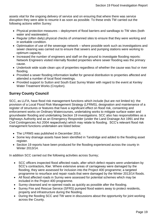assets vital for the ongoing delivery of service and on ensuring that where there was service disruption they were able to resume it as soon as possible. To these ends TW carried out the following actions within Surrey:

- Physical protection measures deployment of flood barriers and sandbags to TW sites (both water and wastewater).
- Regular (often daily) physical checks of unmanned sites to ensure that they were working and in workable condition.
- Optimisation of use of the sewerage network where possible work such as investigations and sewer cleaning was carried out to ensure that sewers and pumping stations were working to optimum capacity.
- Increased the number of engineers and staff on the ground to investigate flooding reports: Network Engineers visited internally flooded properties where sewer flooding was the primary cause.
- Undertook wide scale clean ups of properties regardless of whether the cause was foul or river flooding.
- Provided a sewer flooding information leaflet for general distribution to properties affected and attended a number of local flood meetings.
- Provided support to Sutton and South East Surrey Water with regard to the event at Kenley Water Treatment Works (Croydon).

# **Surrey County Council**

SCC, as LLFA, have flood risk management functions which include (but are not limited to): the provision of a Local Flood Risk Management Strategy (LFRMS), designation and maintenance of a register of structures or features that have a significant effect on flood risk, consenting and enforcement works on Ordinary Watercourses, undertaking works to mitigate surface water and groundwater flooding and undertaking Section 19 investigations. SCC also has responsibilities as a Highways Authority and as an Emergency Responder (under the Land Drainage Act 1991 and the Civil Contingencies Act 2004 respectively) which may relate to flooding. SCC's relevant flood risk management functions undertaken are listed below:

- The LFRMS was published in December 2014.
- Some key drainage assets have been identified in Tandridge and added to the flooding asset register.
- Section 19 reports have been produced for the flooding experienced across the county in Winter 2013/14.

In addition SCC carried out the following activities across Surrey;

- SCC officers inspected flood affected roads, after which defect repairs were undertaken by SCC's contractors, Kier. Where extensive areas of carriageway were damaged by the flooding, they were assessed for inclusion into the Project 400 programme; a targeted programme to resurface and repair roads that were damaged by the Winter 2013/14 floods.
- All flood affected roads in Surrey were assessed for potential schemes which may be included in the Project 400 programme.
- Surrey cleansed and re-opened roads as quickly as possible after the flooding.
- Surrey Fire and Rescue Service (SFRS) pumped flood waters away to protect residents, property and infrastructure during the flooding.
- During the flooding SCC and TW were in discussions about the opportunity for joint working across the County.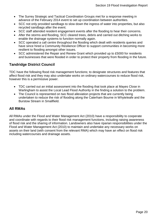- The Surrey Strategic and Tactical Coordination Groups met for a response meeting in advance of the February 2014 event to set up coordination between authorities.
- SCC not only provided sandbags to slow down the ingress of water into properties, but also recycled sandbags after the event.
- SCC staff attended resident engagement events after the flooding to hear their concerns.
- After the storms and flooding, SCC cleared trees, debris and carried out ditching works to enable the drainage systems to function normally again.
- SCC operated a call centre throughout the flooding which dealt with residents queries and have since hired a Community Resilience Officer to support communities in becoming more resilient to flooding amongst other issues.
- SCC administered the Repair and Renew Grant which provided up to £5000 for residents and businesses that were flooded in order to protect their property from flooding in the future.

# **Tandridge District Council**

TDC have the following flood risk management functions; to designate structures and features that affect flood risk and they may also undertake works on ordinary watercourses to reduce flood risk, however this is a permissive power.

- TDC carried out an initial assessment into the flooding that took place at Mayes Close in Warlingham to assist the Local Lead Flood Authority in the finding a solution to the problem.
- The Council is represented on two flood alleviation projects that are currently being undertaken to reduce the risk of flooding along the Caterham Bourne in Whyteleafe and the Burstow Stream in Smallfield.

### **All RMAs**

All RMAs under the Flood and Water Management Act (2010) have a responsibility to cooperate and coordinate with regards to their flood risk management functions, including raising awareness of flood risk and the sharing of information. Landowners also have riparian responsibilities under the Flood and Water Management Act (2010) to maintain and undertake any necessary works on assets on their land (with consent from the relevant RMA) which may have an effect on flood risk including watercourses and drainage assets.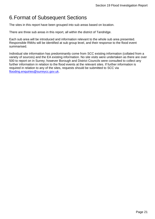# <span id="page-20-0"></span>6.Format of Subsequent Sections

The sites in this report have been grouped into sub areas based on location.

There are three sub areas in this report, all within the district of Tandridge.

Each sub area will be introduced and information relevant to the whole sub area presented. Responsible RMAs will be identified at sub group level, and their response to the flood event summarised.

Individual site information has predominantly come from SCC existing information (collated from a variety of sources) and the EA existing information. No site visits were undertaken as there are over 500 to report on in Surrey; however Borough and District Councils were consulted to collect any further information in relation to the flood events at the relevant sites. If further information is required in relation to any of the sites, requests should be submitted to SCC via [flooding.enquiries@surreycc.gov.uk.](mailto:flooding.enquiries@surreycc.gov.uk)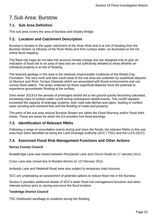# <span id="page-21-0"></span>7.Sub Area: Burstow

#### <span id="page-21-1"></span>**7.1. Sub Area Definition**

This sub area covers the area of Burstow and Shipley Bridge.

#### <span id="page-21-2"></span>**7.2. Location and Catchment Description**

Burstow is located in the upper catchment of the River Mole and is at risk of flooding from the Burstow Stream (a tributary of the River Mole) and from surface water, as illustrated on the EA online flood mapping.

The flood risk maps do not take into account climate change and are designed only to give an indication of flood risk to an area of land and are not sufficiently detailed to show whether an individual property is at risk of flooding.

The bedrock geology in this area is the relatively impermeable mudstone of the Weald Clay Formation. The very north and also south-west of the sub area are underlain by superficial deposits of Alluvium and River Terrace Deposits which are associated with fluvial environments and can convey flood waters. The areas underlain by these superficial deposits have the potential to experience groundwater flooding at the surface.

Over winter 2013/14 the periods of prolonged rainfall led to the ground quickly becoming saturated, increasing rates of surface water runoff during subsequent rainfall events. This runoff regularly exceeded the capacity of drainage systems, both road-side ditches and pipes, leading to surface water ponding and overland flow and the flooding of roads and property.

The parts of the sub area around Burstow Stream are within the Flood Warning and/or Flood Alert Areas. These are areas for which the EA provides free flood warnings.

#### <span id="page-21-3"></span>**7.3. Identification of Relevant RMAs**

Following a range of consultation events during and since the floods, the relevant RMAs in this sub area have been identified as being the Land Drainage Authority (SCC / TDC) and the LLFA (SCC).

### <span id="page-21-4"></span>**7.4. Exercised Flood Risk Management Functions and Other Actions**

#### **Surrey County Council**

Broadbridge Lane was closed between Perrylands Lane and Church Road on 17 January 2014.

Cross Lane was closed due to flooded ditches on 13 February 2014.

Antlands Lane and Redehall Road were also subject to temporary road closures.

SCC are undertaking an assessment of potential options to reduce flood risk in the Burstow.

Section [5](#page-17-0) provides additional details of SCC's wider flood risk management functions and other relevant actions prior to, during and since the flood incident.

#### **Tandridge District Council**

TDC Distributed sandbags to residents during the flooding.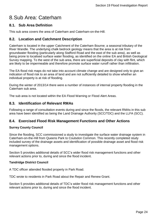# <span id="page-23-0"></span>8.Sub Area: Caterham

#### <span id="page-23-1"></span>**8.1. Sub Area Definition**

This sub area covers the area of Caterham and Caterham-on-the-Hill.

### <span id="page-23-2"></span>**8.2. Location and Catchment Description**

Caterham is located in the upper Catchment of the Caterham Bourne; a seasonal tributary of the River Wandle. The underlying chalk bedrock geology means that the area is at risk from groundwater flooding (particularly along Stafford Road and the east of the sub area), as well as being prone to localised surface water flooding, as identified on the online EA and British Geological Survey mapping. To the west of the sub area, there are superficial deposits of clay with flint, which are likely to be impermeable and therefore promote surface water runoff rather than infiltration.

The EA flood risk maps do not take into account climate change and are designed only to give an indication of flood risk to an area of land and are not sufficiently detailed to show whether an individual property is at risk of flooding.

During the winter of 2013/14 there were a number of instances of internal property flooding in the Caterham sub area.

The sub area is not located within the EA Flood Warning or Flood Alert Areas.

#### <span id="page-23-3"></span>**8.3. Identification of Relevant RMAs**

Following a range of consultation events during and since the floods, the relevant RMAs in this sub area have been identified as being the Land Drainage Authority (SCC/TDC) and the LLFA (SCC).

#### <span id="page-23-4"></span>**8.4. Exercised Flood Risk Management Functions and Other Actions**

#### **Surrey County Council**

Since the flooding, SCC commissioned a study to investigate the surface water drainage system in Caterham-on-the-Hill from Queens Park to Coulsdon Common. This recently completed study included survey of the drainage assets and identification of possible drainage asset and flood risk management options.

Section [5](#page-17-0) provides additional details of SCC's wider flood risk management functions and other relevant actions prior to, during and since the flood incident.

#### **Tandridge District Council**

A TDC officer attended flooded property in Park Road.

TDC wrote to residents in Park Road about the Repair and Renew Grant.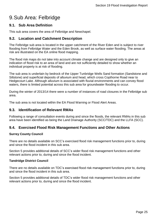# <span id="page-24-0"></span>9.Sub Area: Felbridge

#### <span id="page-24-1"></span>**9.1. Sub Area Definition**

This sub area covers the area of Felbridge and Newchapel.

#### <span id="page-24-2"></span>**9.2. Location and Catchment Description**

The Felbridge sub area is located in the upper catchment of the River Eden and is subject to river flooding from Felbridge Water and the Eden Brook, as well as surface water flooding. The areas at risk are illustrated on the EA online flood mapping.

The flood risk maps do not take into account climate change and are designed only to give an indication of flood risk to an area of land and are not sufficiently detailed to show whether an individual property is at risk of flooding.

The sub area is underlain by bedrock of the Upper Tunbridge Wells Sand formation (Sandstone and Siltstone) and superficial deposits of alluvium and head, which cross Copthorne Road near to Hedgecourt Lake. Although alluvium is associated with fluvial environments and can convey flood waters, there is limited potential across this sub area for groundwater flooding to occur.

During the winter of 2013/14 there were a number of instances of road closures in the Felbridge sub area.

The sub area is not located within the EA Flood Warning or Flood Alert Areas.

#### <span id="page-24-3"></span>**9.3. Identification of Relevant RMAs**

Following a range of consultation events during and since the floods, the relevant RMAs in this sub area have been identified as being the Land Drainage Authority (SCC/TDC) and the LLFA (SCC).

#### <span id="page-24-4"></span>**9.4. Exercised Flood Risk Management Functions and Other Actions**

#### **Surrey County Council**

There are no details available on SCC's exercised flood risk management functions prior to, during and since the flood incident in this sub area.

Section [5](#page-17-0) provides additional details of SCC's wider flood risk management functions and other relevant actions prior to, during and since the flood incident.

#### **Tandridge District Council**

There are no details available on TDC's exercised flood risk management functions prior to, during and since the flood incident in this sub area.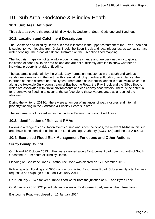# <span id="page-25-0"></span>10. Sub Area: Godstone & Blindley Heath

### <span id="page-25-1"></span>**10.1. Sub Area Definition**

This sub area covers the area of Blindley Heath, Godstone, South Godstone and Tandridge.

### <span id="page-25-2"></span>**10.2. Location and Catchment Description**

The Godstone and Blindley Heath sub area is located in the upper catchment of the River Eden and is subject to river flooding from Gibbs Brook, the Eden Brook and local tributaries, as well as surface water flooding. The areas at risk are illustrated on the EA online flood mapping.

The flood risk maps do not take into account climate change and are designed only to give an indication of flood risk to an area of land and are not sufficiently detailed to show whether an individual property is at risk of flooding.

The sub area is underlain by the Weald Clay Formation mudstones in the south and various sandstone formations in the north, with areas at risk of groundwater flooding, particularly at the interface of these different bedrock types. There are also superficial deposits of alluvium which run along the Hookstile Gully downstream of Eastbourne Road, the Ray Brook and the Gibbs Brook, which are associated with fluvial environments and can convey flood waters. There is the potential for groundwater flooding to occur at the surface along these watercourses as a result of the alluvium.

During the winter of 2013/14 there were a number of instances of road closures and internal property flooding in the Godstone & Blindley Heath sub area.

The sub area is not located within the EA Flood Warning or Flood Alert Areas.

#### <span id="page-25-3"></span>**10.3. Identification of Relevant RMAs**

Following a range of consultation events during and since the floods, the relevant RMAs in this sub area have been identified as being the Land Drainage Authority (SCC/TDC) and the LLFA (SCC).

### <span id="page-25-4"></span>**10.4. Exercised Flood Risk Management Functions and Other Actions**

#### **Surrey County Council**

On 19 and 20 October 2013 gullies were cleaned along Eastbourne Road from just north of South Godstone to 1km south of Blindley Heath.

Flooding on Godstone Road / Eastbourne Road was cleared on 17 December 2013.

Police reported flooding and SCC contractors visited Eastbourne Road. Subsequently a tanker was requested and signage put out on 1 January 2014

On 2 January 2014 a tanker pumped flood water from the junction of A22 and Byres Lane.

On 6 January 2014 SCC jetted pits and gullies at Eastbourne Road, leaving them free flowing.

Eastbourne Road was closed on 16 January 2014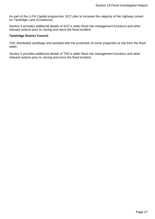As part of the LLFA Capital programme, SCC plan to increase the capacity of the highway culvert on Tandridge Lane (Crowhurst).

Section [5](#page-17-0) provides additional details of SCC's wider flood risk management functions and other relevant actions prior to, during and since the flood incident.

#### **Tandridge District Council**

TDC distributed sandbags and assisted with the protection of some properties at risk from the flood water.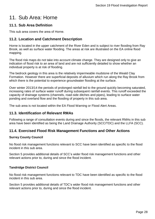# <span id="page-27-0"></span>11. Sub Area: Horne

### <span id="page-27-1"></span>**11.1. Sub Area Definition**

This sub area covers the area of Horne.

### <span id="page-27-2"></span>**11.2. Location and Catchment Description**

Horne is located in the upper catchment of the River Eden and is subject to river flooding from Ray Brook, as well as surface water flooding. The areas at risk are illustrated on the EA online flood mapping.

The flood risk maps do not take into account climate change. They are designed only to give an indication of flood risk to an area of land and are not sufficiently detailed to show whether an individual property is at risk of flooding.

The bedrock geology in this area is the relatively impermeable mudstone of the Weald Clay Formation. However there are superficial deposits of alluvium which run along the Ray Brook from which there is the potential to experience groundwater flooding at the surface.

Over winter 2013/14 the periods of prolonged rainfall led to the ground quickly becoming saturated, increasing rates of surface water runoff during subsequent rainfall events. This runoff exceeded the capacity of drainage systems (channels, road-side ditches and pipes), leading to surface water ponding and overland flow and the flooding of property in this sub area.

The sub area is not located within the EA Flood Warning or Flood Alert Areas.

### <span id="page-27-3"></span>**11.3. Identification of Relevant RMAs**

Following a range of consultation events during and since the floods, the relevant RMAs in this sub area have been identified as being the Land Drainage Authority (SCC/TDC) and the LLFA (SCC).

### <span id="page-27-4"></span>**11.4. Exercised Flood Risk Management Functions and Other Actions**

#### **Surrey County Council**

No flood risk management functions relevant to SCC have been identified as specific to the flood incident in this sub area.

Section [5](#page-17-0) provides additional details of SCC's wider flood risk management functions and other relevant actions prior to, during and since the flood incident.

#### **Tandridge District Council**

No flood risk management functions relevant to TDC have been identified as specific to the flood incident in this sub area.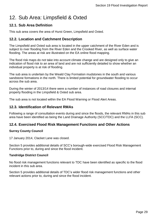# <span id="page-28-0"></span>12. Sub Area: Limpsfield & Oxted

# <span id="page-28-1"></span>**12.1. Sub Area Definition**

This sub area covers the area of Hurst Green, Limpsfield and Oxted.

### <span id="page-28-2"></span>**12.2. Location and Catchment Description**

The Limpsfield and Oxted sub area is located in the upper catchment of the River Eden and is subject to river flooding from the River Eden and the Crooked River, as well as surface water flooding. The areas at risk are illustrated on the EA online flood mapping.

The flood risk maps do not take into account climate change and are designed only to give an indication of flood risk to an area of land and are not sufficiently detailed to show whether an individual property is at risk of flooding.

The sub area is underlain by the Weald Clay Formation mudstones in the south and various sandstone formations in the north. There is limited potential for groundwater flooding to occur across the sub area.

During the winter of 2013/14 there were a number of instances of road closures and internal property flooding in the Limpsfield & Oxted sub area.

The sub area is not located within the EA Flood Warning or Flood Alert Areas.

#### <span id="page-28-3"></span>**12.3. Identification of Relevant RMAs**

Following a range of consultation events during and since the floods, the relevant RMAs in this sub area have been identified as being the Land Drainage Authority (SCC/TDC) and the LLFA (SCC).

### <span id="page-28-4"></span>**12.4. Exercised Flood Risk Management Functions and Other Actions**

#### **Surrey County Council**

17 January 2014, Clacket Lane was closed.

Section [5](#page-17-0) provides additional details of SCC's borough-wide exercised Flood Risk Management Functions prior to, during and since the flood incident.

#### **Tandridge District Council**

No flood risk management functions relevant to TDC have been identified as specific to the flood incident in this sub area.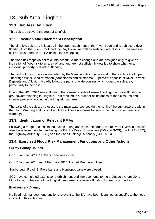# <span id="page-29-0"></span>13. Sub Area: Lingfield

### <span id="page-29-1"></span>**13.1. Sub Area Definition**

This sub area covers the area of Lingfield.

# <span id="page-29-2"></span>**13.2. Location and Catchment Description**

The Lingfield sub area is located in the upper catchment of the River Eden and is subject to river flooding from the Eden Brook and the Ray Brook, as well as surface water flooding. The areas at risk are illustrated on the EA online flood mapping.

The flood risk maps do not take into account climate change and are designed only to give an indication of flood risk to an area of land and are not sufficiently detailed to show whether an individual property is at risk of flooding.

The north of the sub area is underlain by the Wealden Group (clay) and to the south is the Upper Tunbridge Wells Sand formation (sandstones and siltstones). Superficial deposits of River Terrace Deposits and Alluvium broadly follow the paths of watercourses which cross the sub area, particularly to the east.

During the 2013/2014 winter flooding there were reports of sewer flooding, main river flooding and groundwater flooding in Lingfield. This resulted in a number of instances of road closures and internal property flooding in the Lingfield sub area.

The parts of the sub area closest to the main watercourses (in the north of the sub area) are within the Flood Warning and Flood Alert Areas. These are areas for which the EA provides free flood warnings.

### <span id="page-29-3"></span>**13.3. Identification of Relevant RMAs**

Following a range of consultation events during and since the floods, the relevant RMAs in this sub area have been identified as being the EA, the Water Companies (TW and SWS), the LLFA (SCC), the Highway Authority (SCC) and the Land Drainage Authority (SCC/TDC).

### <span id="page-29-4"></span>**13.4. Exercised Flood Risk Management Functions and Other Actions**

#### **Surrey County Council**

On 17 January 2014, St. Piers Lane was closed.

On 17 January 2014 and 1 February 2014, Haxted Road was closed.

Starborough Road, St Piers Lane and Honeypot Lane were closed.

SCC have completed extensive refurbishment and improvements to the drainage system along Moor Lane, to the east of the Lingfield sub area, to alleviate flooding to nearby properties.

#### **Environment Agency**

No flood risk management functions relevant to the EA have been identified as specific to the flood incident in this sub area.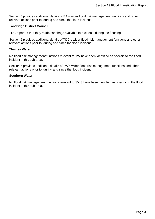Section [5](#page-17-0) provides additional details of EA's wider flood risk management functions and other relevant actions prior to, during and since the flood incident.

#### **Tandridge District Council**

TDC reported that they made sandbags available to residents during the flooding.

Section [5](#page-17-0) provides additional details of TDC's wider flood risk management functions and other relevant actions prior to, during and since the flood incident.

#### **Thames Water**

No flood risk management functions relevant to TW have been identified as specific to the flood incident in this sub area.

Section [5](#page-17-0) provides additional details of TW's wider flood risk management functions and other relevant actions prior to, during and since the flood incident.

#### **Southern Water**

No flood risk management functions relevant to SWS have been identified as specific to the flood incident in this sub area.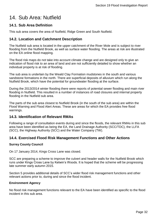# <span id="page-31-0"></span>14. Sub Area: Nutfield

### <span id="page-31-1"></span>**14.1. Sub Area Definition**

This sub area covers the area of Nutfield, Ridge Green and South Nutfield.

### <span id="page-31-2"></span>**14.2. Location and Catchment Description**

The Nutfield sub area is located in the upper catchment of the River Mole and is subject to river flooding from the Nutfield Brook, as well as surface water flooding. The areas at risk are illustrated on the EA online flood mapping.

The flood risk maps do not take into account climate change and are designed only to give an indication of flood risk to an area of land and are not sufficiently detailed to show whether an individual property is at risk of flooding.

The sub area is underlain by the Weald Clay Formation mudstones in the south and various sandstone formations in the north. There are superficial deposits of alluvium which run along the Nutfield Brook, which have the potential for groundwater flooding at the surface.

During the 2013/2014 winter flooding there were reports of potential sewer flooding and main river flooding in Nutfield. This resulted in a number of instances of road closures and internal property flooding in the Nutfield sub area.

The parts of the sub area closest to Nutfield Brook (in the south of the sub area) are within the Flood Warning and Flood Alert Areas. These are areas for which the EA provides free flood warnings.

### <span id="page-31-3"></span>**14.3. Identification of Relevant RMAs**

Following a range of consultation events during and since the floods, the relevant RMAs in this sub area have been identified as being the EA, the Land Drainage Authority (SCC/TDC), the LLFA (SCC), the Highway Authority (SCC) and the Water Company (TW).

#### <span id="page-31-4"></span>**14.4. Exercised Flood Risk Management Functions and Other Actions**

#### **Surrey County Council**

On 17 January 2014, Kings Cross Lane was closed.

SCC are preparing a scheme to improve the culvert and header walls for the Nutfield Brook which runs under Kings Cross Lane by Ketwin's Woods. It is hoped that the scheme will be progressing late summer early autumn 2015.

Section [5](#page-17-0) provides additional details of SCC's wider flood risk management functions and other relevant actions prior to, during and since the flood incident.

#### **Environment Agency**

No flood risk management functions relevant to the EA have been identified as specific to the flood incident in this sub area.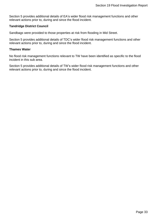Section [5](#page-17-0) provides additional details of EA's wider flood risk management functions and other relevant actions prior to, during and since the flood incident.

#### **Tandridge District Council**

Sandbags were provided to those properties at risk from flooding in Mid Street.

Section [5](#page-17-0) provides additional details of TDC's wider flood risk management functions and other relevant actions prior to, during and since the flood incident.

#### **Thames Water**

No flood risk management functions relevant to TW have been identified as specific to the flood incident in this sub area.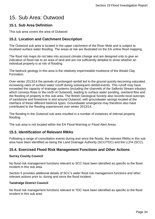# <span id="page-33-0"></span>15. Sub Area: Outwood

### <span id="page-33-1"></span>**15.1. Sub Area Definition**

This sub area covers the area of Outwood

# <span id="page-33-2"></span>**15.2. Location and Catchment Description**

The Outwood sub area is located in the upper catchment of the River Mole and is subject to localised surface water flooding. The areas at risk are illustrated on the EA online flood mapping.

The flood risk maps do not take into account climate change and are designed only to give an indication of flood risk to an area of land and are not sufficiently detailed to show whether an individual property is at risk of flooding.

The bedrock geology in this area is the relatively impermeable mudstone of the Weald Clay Formation.

Over winter 2013/14 the periods of prolonged rainfall led to the ground quickly becoming saturated, increasing rates of surface water runoff during subsequent rainfall events. This runoff may have exceeded the capacity of drainage systems (including the channels of the Salfords Stream tributary which conveys flows to the north of Outwood), leading to surface water ponding, overland flow and the flooding of property in this sub area. The British Geological Society also records local outcrops of sandstone and limestone in and around Outwood, with groundwater springs located at the interface of these different bedrock types. Groundwater emergence may therefore also have contributed to the flooding experienced over winter 2013/14.

The flooding in the Outwood sub area resulted in a number of instances of internal property flooding.

The sub area is not located within the EA Flood Warning or Flood Alert Areas.

### <span id="page-33-3"></span>**15.3. Identification of Relevant RMAs**

Following a range of consultation events during and since the floods, the relevant RMAs in this sub area have been identified as being the Land Drainage Authority (SCC/TDC) and the LLFA (SCC).

### <span id="page-33-4"></span>**15.4. Exercised Flood Risk Management Functions and Other Actions**

#### **Surrey County Council**

No flood risk management functions relevant to SCC have been identified as specific to the flood incident in this sub area.

Section [5](#page-17-0) provides additional details of SCC's wider flood risk management functions and other relevant actions prior to, during and since the flood incident.

#### **Tandridge District Council**

No flood risk management functions relevant to TDC have been identified as specific to the flood incident in this sub area.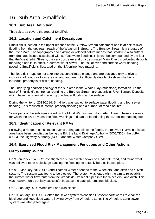# <span id="page-35-0"></span>16. Sub Area: Smallfield

# <span id="page-35-1"></span>**16.1. Sub Area Definition**

This sub area covers the area of Smallfield.

# <span id="page-35-2"></span>**16.2. Location and Catchment Description**

Smallfield is located in the upper reaches of the Burstow Stream catchment and is at risk of river flooding from the upstream reach of the Weatherhill Stream. The Burstow Stream is a tributary of the River Mole. The topography and existing developed nature means that Smallfield also suffers from drainage issues associated with surface water flooding. This can be compounded by the fact that the Weatherhill Stream, the very upstream end of a designated Main River, is culverted through the village and is, in effect, a surface water sewer. The risk of river and surface water flooding posed to Smallfield is illustrated on the EA online flood mapping.

The flood risk maps do not take into account climate change and are designed only to give an indication of flood risk to an area of land and are not sufficiently detailed to show whether an individual property is at risk of flooding.

The underlying bedrock geology of the sub area is the Weald Clay (mudstone) formation. To the east of Smallfield's centre, surrounding the Burstow Stream are superficial River Terrace Deposits which have the potential to allow groundwater flooding at the surface.

During the winter of 2013/2014, Smallfield was subject to surface water flooding and foul sewer flooding. This resulted in internal property flooding and a number of road closures.

Some parts of the sub area are within the Flood Warning and Flood Alert Areas. These are areas for which the EA provides free flood warnings and can be found using the EA online mapping tool.

#### <span id="page-35-3"></span>**16.3. Identification of Relevant RMAs**

Following a range of consultation events during and since the floods, the relevant RMAs in this sub area have been identified as being the EA, the Land Drainage Authority (SCC/TDC), the LLFA (SCC), the Highway Authority (SCC), and the Water Company (TW).

### <span id="page-35-4"></span>**16.4. Exercised Flood Risk Management Functions and Other Actions**

#### **Surrey County Council**

On 3 January 2014, SCC investigated a surface water sewer on Redehall Road, and found what was believed to be a blockage causing the flooding, to actually be a collapsed pipe.

On 9-10 January 2014, SCC and Thames Water attended to the Wheelers Lane ditch and culvert system. The system was found to be blocked. The system was jetted with the aim to re-establish the surface water flow route from the Woodside Crescent pipes into the Wheelers Lane ditch. This was however only partially successful because the catchpit remained blocked.

On 17 January 2014, Wheelers Lane was closed.

On 19 January 2014, SCC jetted the sewer system Woodside Crescent northwards to clear the blockage and keep flood waters flowing away from Wheelers Lane. The Wheelers Lane sewer system was also jetted again.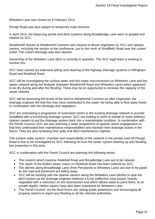Wheelers Lane was closed on 6 February 2014.

Plough Road was also subject to temporary road closures.

In April 2014, the balancing ponds and ditch systems along Broadbridge Lane were re-graded and cleared by SCC.

Weatherhill Stream at Weatherhill Common was cleared of dense vegetation by SCC and riparian owners, including the section at the confluence, just to the north of Smallfield Road near the culvert outlet. The culvert blockage was also cleared.

Ownership of the Wheelers Lane ditch is currently in question. The SCC legal team is working to resolve this.

SCC have carried out extensive jetting and cleaning of the highway drainage systems in Effingham Road and Redehall Road.

SCC will be investigating the surface water and foul water misconnection on Wheelers Lane and the sewer network along the footpath (between Weatherhill Road and Wheelers Lane) which appeared to be dry during and after the flooding. There may be an opportunity to increase the capacity of the sewer network.

SCC will be assessing the levels of the land on Weatherhill Common as after inspection, the drainage engineer felt that this may have contributed to the water not being able to flow away freely, in combination with the blockage and vegetation.

SCC are overseeing a programme of restoration works to the existing drainage network to provide Smallfield with a functioning drainage system. SCC are looking to work on behalf of some (elderly) riparian owners to put the drainage system back into a maintainable condition. In combination with the Parish Council, SCC are also planning a wider programme of riparian owner engagement so that they understand their maintenance responsibilities and maintain their drainage assets in the future. They are also reviewing their gully and ditch maintenance regimes.

The surface water system, chamber and responsibility of the network in the private road off Plough Road is due to be investigated by SCC following on from the sewer system backing up and flooding two properties in this area.

SCC in combination with the Parish Council are planning the following works:

- The culverts which traverse Redehall Road and Broadbridge Lane are to be cleared.
- The repair of the broken sewer mains on Redehall Road has been ordered by SCC.
- The ditches along Broadbridge Lane (from Perrylands to Wheelers Lane) are due to be piped as the road and pavement are falling away.
- SCC will be working with the riparian owners along the Wheelers Lane ditches to pipe the ditch system as the drainage engineer believes it to be ineffective (clay based, heavily vegetated with a restriction on the downstream end which allows water to pond there, at an unsafe depth). Defect repairs have also been scheduled for Wheelers Lane.
- The Parish Council, via the flood forum are raising public awareness and encouraging all property owners to report any flooding to all the relevant authorities.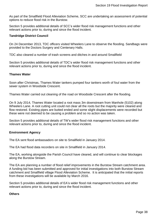As part of the Smallfield Flood Alleviation Scheme, SCC are undertaking an assessment of potential options to reduce flood risk in the Burstow.

Section [5](#page-17-0) provides additional details of SCC's wider flood risk management functions and other relevant actions prior to, during and since the flood incident.

#### **Tandridge District Council**

On 24 December 2013, TDC officers visited Wheelers Lane to observe the flooding. Sandbags were provided to the Doctors Surgery and Centenary Halls.

TDC also cleared a number of trash screens and ditches in and around Smallfield

Section [5](#page-17-0) provides additional details of TDC's wider flood risk management functions and other relevant actions prior to, during and since the flood incident.

#### **Thames Water**

Soon after Christmas, Thames Water tankers pumped four tankers worth of foul water from the sewer system in Woodside Crescent.

Thames Water carried out cleaning of the road on Woodside Crescent after the flooding.

On 9 July 2014, Thames Water located a root mass 3m downstream from Manhole (5102) along Wheelers Lane. A root cutting unit could not clear all the roots but the majority were cleared and flow restored. Existing pipes are butted ended and some slight displacements were recorded but these were not deemed to be causing a problem and so no action was taken.

Section [5](#page-17-0) provides additional details of TW's wider flood risk management functions and other relevant actions prior to, during and since the flood incident.

#### **Environment Agency**

The EA sent flood ambassadors on site to Smallfield in January 2014.

The EA had flood data recorders on site in Smallfield in January 2014.

The EA, working alongside the Parish Council have cleared, and will continue to clear blockages along the Burstow Stream.

The EA are planning a number of flood relief improvements in the Burstow Stream catchment area. A funding bid has been submitted and approved for initial investigations into both Burstow Stream catchment and Smallfield village Flood Alleviation Scheme. It is anticipated that the initial reports from these investigations will be available by March 2016.

Section [5](#page-17-0) provides additional details of EA's wider flood risk management functions and other relevant actions prior to, during and since the flood incident.

#### **Others**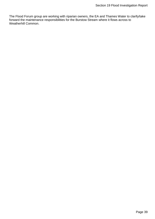The Flood Forum group are working with riparian owners, the EA and Thames Water to clarify/take forward the maintenance responsibilities for the Burstow Stream where it flows across to Weatherhill Common.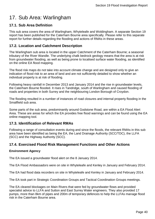# <span id="page-39-0"></span>17. Sub Area: Warlingham

### <span id="page-39-1"></span>**17.1. Sub Area Definition**

This sub area covers the area of Warlingham, Whyteleafe and Woldingham. A separate Section 19 report has been published for the Caterham Bourne area specifically. Please refer to this separate report for further details regarding the flooding and actions of RMAs in these areas.

# <span id="page-39-2"></span>**17.2. Location and Catchment Description**

The Warlingham sub area is located in the upper Catchment of the Caterham Bourne; a seasonal tributary of the River Wandle. The underlying chalk bedrock geology means that the area is at risk from groundwater flooding, as well as being prone to localised surface water flooding, as identified on the online EA flood mapping.

The flood risk maps do not take into account climate change and are designed only to give an indication of flood risk to an area of land and are not sufficiently detailed to show whether an individual property is at risk of flooding.

Following heavy rainfall in December 2013 and January 2014 and the rise in groundwater levels, the Caterham Bourne flooded. It rises in Tandridge, south of Warlingham and caused flooding of roads and properties in both Surrey and the neighbouring London Borough of Croydon.

The flooding resulted in a number of instances of road closures and internal property flooding in the Smallfield sub area.

Some parts of the sub area, predominantly around Godstone Road, are within a EA Flood Alert Area. These are areas for which the EA provides free flood warnings and can be found using the EA online mapping tool.

### <span id="page-39-3"></span>**17.3. Identification of Relevant RMAs**

Following a range of consultation events during and since the floods, the relevant RMAs in this sub area have been identified as being the EA, the Land Drainage Authority (SCC/TDC), the LLFA (SCC) and the Highway Authority (SCC).

### <span id="page-39-4"></span>**17.4. Exercised Flood Risk Management Functions and Other Actions**

#### **Environment Agency**

The EA issued a groundwater flood alert on the 8 January 2014.

The EA Flood Ambassadors were on site in Whyteleafe and Kenley in January and February 2014.

The EA had flood data recorders on site in Whyteleafe and Kenley in January and February 2014.

The EA took part in Strategic Coordination Groups and Tactical Coordination Groups meetings.

The EA cleared blockages on Main Rivers that were fed by groundwater flows and provided specialist advice to LLFA and Sutton and East Surrey Water engineers. They also provided 17 pumps, more than 8km of pipes and 200m of temporary defences to help the LLFAs manage flood risk in the Caterham Bourne area.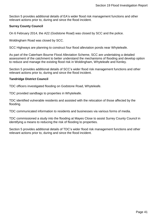Section [5](#page-17-0) provides additional details of EA's wider flood risk management functions and other relevant actions prior to, during and since the flood incident.

#### **Surrey County Council**

On 6 February 2014, the A22 (Godstone Road) was closed by SCC and the police.

Woldingham Road was closed by SCC.

SCC Highways are planning to construct four flood alleviation ponds near Whyteleafe.

As part of the Caterham Bourne Flood Alleviation Scheme, SCC are undertaking a detailed assessment of the catchment to better understand the mechanisms of flooding and develop option to reduce and manage the existing flood risk in Woldingham, Whyteleafe and Kenley.

Section [5](#page-17-0) provides additional details of SCC's wider flood risk management functions and other relevant actions prior to, during and since the flood incident.

#### **Tandridge District Council**

TDC officers investigated flooding on Godstone Road, Whyteleafe.

TDC provided sandbags to properties in Whyteleafe.

TDC identified vulnerable residents and assisted with the relocation of those affected by the flooding.

TDC communicated information to residents and businesses via various forms of media.

TDC commissioned a study into the flooding at Mayes Close to assist Surrey County Council in identifying a means to reducing the risk of flooding to properties.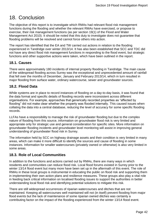# <span id="page-41-0"></span>18. Conclusion

The objective of this report is to investigate which RMAs had relevant flood risk management functions during the flooding and whether the relevant RMAs have exercised, or propose to exercise, their risk management functions (as per section 19(1) of the Flood and Water Management Act 2010). It should be noted that this duty to investigate does not guarantee that flooding problems will be resolved and cannot force others into action.

The report has identified that the EA and TW carried out actions in relation to the flooding experienced in Tandridge over winter 2013/14. It has also been established that SCC and TDC did not have any direct flood risk management functions in responding to the flood event, but strategic functions and other supportive actions were taken, which have been outlined in the report.

### <span id="page-41-1"></span>**18.1. Causes**

There were approximately 180 incidents of internal property flooding in Tandridge. The main cause of the widespread flooding across Surrey was the exceptional and unprecedented amount of rainfall that fell over the months of December, January and February 2013/14, which in turn resulted in major flooding from surface water, ordinary watercourse, sewer and groundwater sources.

# <span id="page-41-2"></span>**18.2. Flood Data**

While systems are in place to record instances of flooding on a day-to-day basis, it was found that the data format and specific details of flooding records were inconsistent across different organisations. For example, approaches that generically recorded properties as "affected by flooding" did not make clear whether the property was flooded internally. This caused issues when collating the data into a central database, reducing the level of accuracy for some specific flooding records.

LLFAs have a responsibility to manage the risk of groundwater flooding but due to the complex nature of flooding from this source, information on groundwater flood risk is very limited and appropriate only for strategic use and general consideration for specific sites. More information on groundwater flooding incidents and groundwater level monitoring will assist in improving general understanding of groundwater flood risk in Surrey.

The information held by SCC on highway drainage assets and their condition is very limited in many areas, which can make it more difficult to identify the sources and cause of flooding in some instances. Information for smaller watercourses (privately owned or otherwise) is also very limited in some areas.

# <span id="page-41-3"></span>**18.3. Role of Local Communities**

In addition to the functions and actions carried out by RMAs, there are many ways in which residents and communities can reduce flood risk. Local flood forums existed in Surrey prior to the winter 13/14 flood event but many more have been set up in the aftermath of this event. The role of RMAs in these local groups is instrumental in educating the public on flood risk and supporting them in implementing their own action plans and resilience measures. These groups also play a vital role in feeding back critical information on localised flooding issues to support the authorities in better understanding local flood risk and identifying potential solutions to mitigate this risk.

There are still widespread occurrences of riparian watercourses and ditches that are not maintained. Keeping all watercourses well maintained will not (in itself) prevent flooding from major flood events but the lack of maintenance of some riparian owned ditches was certainly a contributing factor on the impact of the flooding experienced from the winter 13/14 flood event.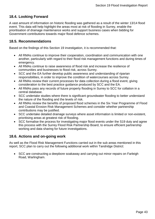# <span id="page-42-0"></span>**18.4. Looking Forward**

A vast amount of information on historic flooding was gathered as a result of the winter 13/14 flood event. This data will help highlight the areas most at risk of flooding in Surrey, enable the prioritisation of drainage maintenance works and support business cases when bidding for Government contributions towards major flood defence schemes.

#### <span id="page-42-1"></span>**18.5. Recommendations**

Based on the findings of this Section 19 investigation, it is recommended that:

- All RMAs continue to improve their cooperation, coordination and communication with one another, particularly with regard to their flood risk management functions and during times of emergency.
- All RMAs continue to raise awareness of flood risk and increase the resilience of communities and businesses to flood risk, across Surrey.
- SCC and the EA further develop public awareness and understanding of riparian responsibilities, in order to improve the condition of watercourses across Surrey.
- All RMAs review their current processes for data collection during a flood event, giving consideration to the best practice guidance produced by SCC and the EA.
- All RMAs pass any records of future property flooding in Surrey to SCC for collation in a central database.
- SCC undertake studies where there is significant groundwater flooding to better understand the nature of the flooding and the levels of risk.
- All RMAs review the benefits of proposed flood schemes in the Six Year Programme of Flood and Coastal Erosion Risk Management Schemes and consider whether partnership contributions may be justified.
- SCC undertake detailed drainage surveys where asset information is limited or non-existent, prioritising areas at greatest risk of flooding.
- SCC formalise the process for investigating major flood events under the S19 duty and agree this process with the Surrey Flood Risk Partnership Board, to ensure efficient partnership working and data sharing for future investigations.

### <span id="page-42-2"></span>**18.6. Actions and on-going work**

As well as the Flood Risk Management Functions carried out in the sub areas mentioned in this report, SCC plan to carry out the following additional work within Tandridge District:

• SCC are constructing a deepbore soakaway and carrying out minor repairs on Farleigh Road, Warlingham.